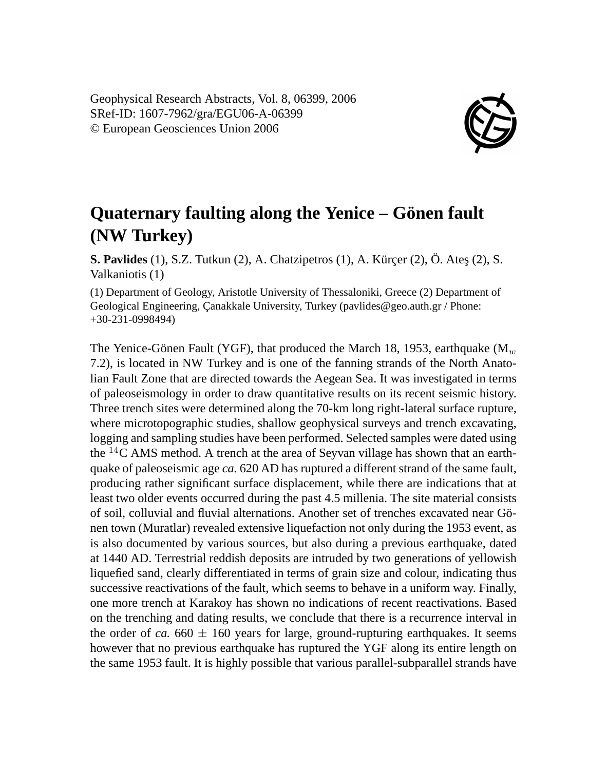Geophysical Research Abstracts, Vol. 8, 06399, 2006 SRef-ID: 1607-7962/gra/EGU06-A-06399 © European Geosciences Union 2006



## **Quaternary faulting along the Yenice – Gönen fault (NW Turkey)**

**S. Pavlides** (1), S.Z. Tutkun (2), A. Chatzipetros (1), A. Kürçer (2), Ö. Ateş (2), S. Valkaniotis (1)

(1) Department of Geology, Aristotle University of Thessaloniki, Greece (2) Department of Geological Engineering, Çanakkale University, Turkey (pavlides@geo.auth.gr / Phone: +30-231-0998494)

The Yenice-Gönen Fault (YGF), that produced the March 18, 1953, earthquake  $(M_w)$ 7.2), is located in NW Turkey and is one of the fanning strands of the North Anatolian Fault Zone that are directed towards the Aegean Sea. It was investigated in terms of paleoseismology in order to draw quantitative results on its recent seismic history. Three trench sites were determined along the 70-km long right-lateral surface rupture, where microtopographic studies, shallow geophysical surveys and trench excavating, logging and sampling studies have been performed. Selected samples were dated using the  ${}^{14}C$  AMS method. A trench at the area of Seyvan village has shown that an earthquake of paleoseismic age *ca.* 620 AD has ruptured a different strand of the same fault, producing rather significant surface displacement, while there are indications that at least two older events occurred during the past 4.5 millenia. The site material consists of soil, colluvial and fluvial alternations. Another set of trenches excavated near Gönen town (Muratlar) revealed extensive liquefaction not only during the 1953 event, as is also documented by various sources, but also during a previous earthquake, dated at 1440 AD. Terrestrial reddish deposits are intruded by two generations of yellowish liquefied sand, clearly differentiated in terms of grain size and colour, indicating thus successive reactivations of the fault, which seems to behave in a uniform way. Finally, one more trench at Karakoy has shown no indications of recent reactivations. Based on the trenching and dating results, we conclude that there is a recurrence interval in the order of *ca.*  $660 \pm 160$  years for large, ground-rupturing earthquakes. It seems however that no previous earthquake has ruptured the YGF along its entire length on the same 1953 fault. It is highly possible that various parallel-subparallel strands have